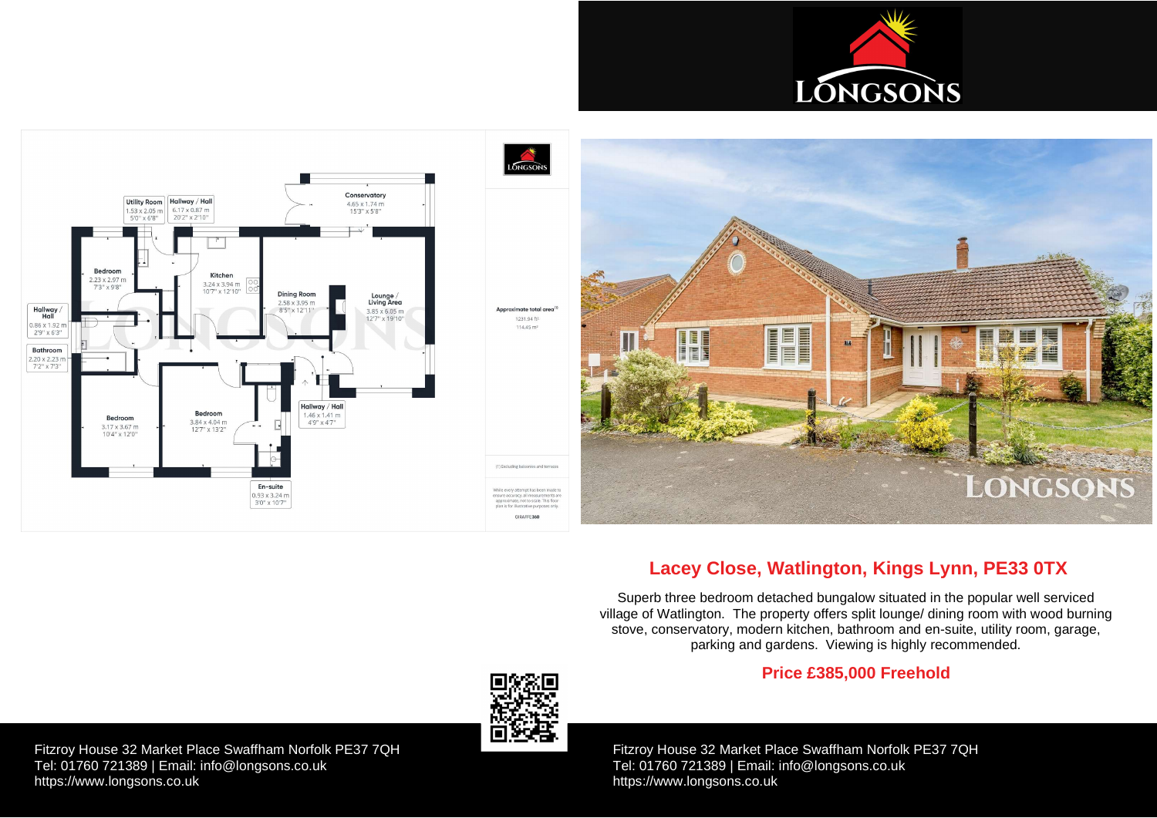Fitzroy House 32 Market Place Swaffham Norfolk PE37 7QH Tel: 01760 721389 | Email: [info@longsons.co.uk](mailto:info@longsons.co.uk) <https://www.longsons.co.uk>

Fitzroy House 32 Market Place Swaffham Norfolk PE37 7QH Tel: 01760 721389 | Email: [info@longsons.co.uk](mailto:info@longsons.co.uk) <https://www.longsons.co.uk>





# **Lacey Close, Watlington, Kings Lynn, PE33 0TX**

Superb three bedroom detached bungalow situated in the popular well serviced village of Watlington. The property offers split lounge/ dining room with wood burning stove, conservatory, modern kitchen, bathroom and en-suite, utility room, garage, parking and gardens. Viewing is highly recommended.

## **Price £385,000 Freehold**